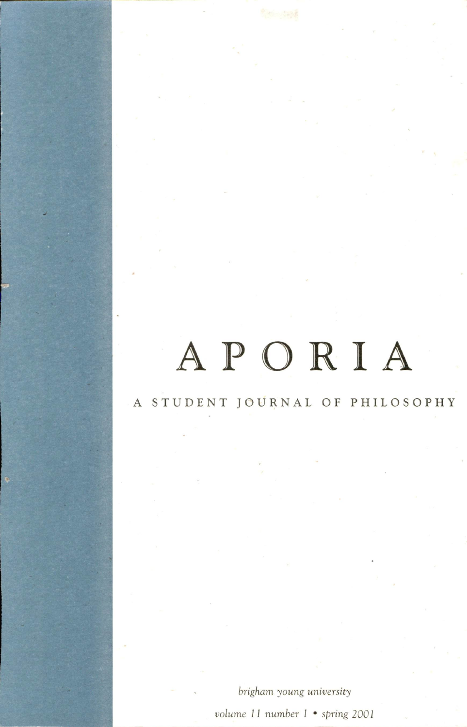#### A STUDENT JOURNAL OF PHILOSOPHY

brigham young university volume 11 number I • spring 2001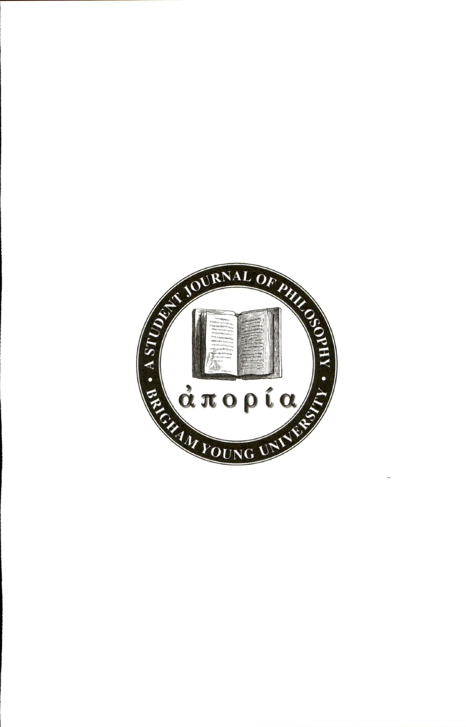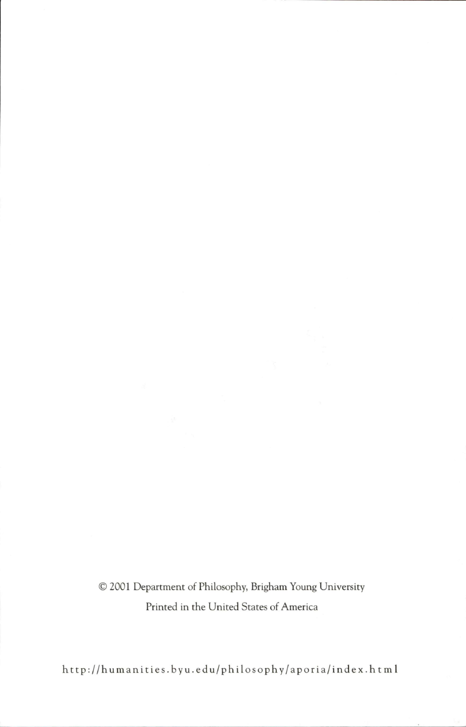• 2001 Department of Philosophy, Brigham Young University Printed in the United States of America

http://humanities.byu.edu/philosophy/aporia/index.html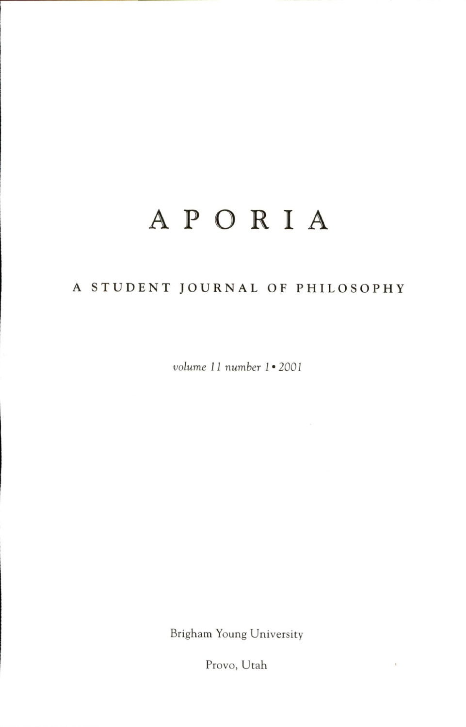### A STUDENT JOURNAL OF PHILOSOPHY

volume 11 number I • 2001

Brigham Young University

Provo, Utah

 $\bar{\rm t}$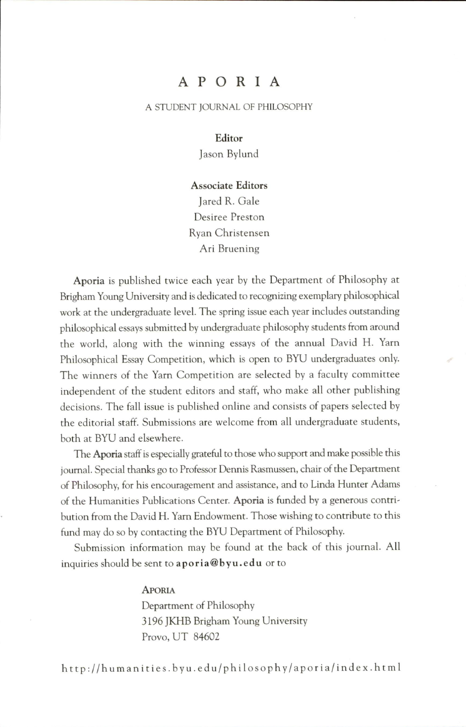#### A STUDENT JOURNAL OF PHILOSOPHY

Editor Jason Bylund

Associate Editors Jared R. Gale Desiree Preston Ryan Christensen

Ari Bruening

Aporia is published twice each year by the Department of Philosophy at Brigham Young University and is dedicated to recognizing exemplary philosophical work at the undergraduate level. The spring issue each year includes outstanding philosophical essays submitted by undergraduate philosophy students from around the world, along with the winning essays of the annual David H. Yam Philosophical Essay Competition, which is open to BYU undergraduates only. The winners of the Yarn Competition are selected by a faculty committee independent of the student editors and staff, who make all other publishing decisions. The fall issue is published online and consists of papers selected by the editorial staff. Submissions are welcome from all undergraduate students, both at BYU and elsewhere.

The Aporia staff is especially grateful to those who support and make possible this journal. Special thanks go to Professor Dennis Rasmussen, chair of the Department of Philosophy, for his encouragement and assistance, and to Linda Hunter Adams of the Humanities Publications Center. Aporia is funded by a generous contri bution from the David H. Yam Endowment. Those wishing to contribute to this fund may do so by contacting the BYU Department of Philosophy.

Submission information may be found at the back of this journal. All inquiries should be sent to aporia@byu.edu or to

> **APORIA** Department of Philosophy 3196 JKHB Brigham Young University

Provo, UT 84602

http://humanities.byu.edu/philosophy/aporia/index.html